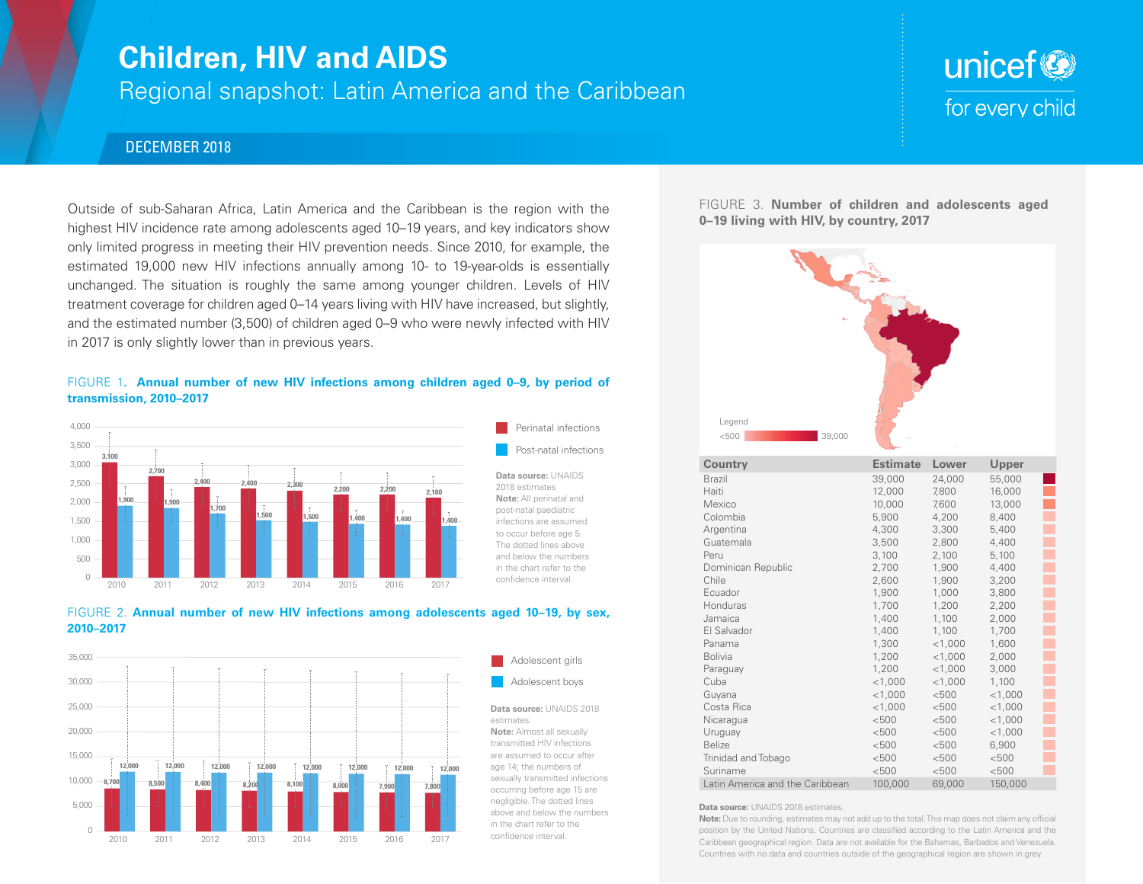## **Children, HIV and AIDS**

Regional snapshot: Latin America and the Caribbean

# unicef<sup>®</sup> for every child

### DECEMBER 2018

Outside of sub-Saharan Africa, Latin America and the Caribbean is the region with the highest HIV incidence rate among adolescents aged 10–19 years, and key indicators show only limited progress in meeting their HIV prevention needs. Since 2010, for example, the estimated 19,000 new HIV infections annually among 10- to 19-year-olds is essentially unchanged. The situation is roughly the same among younger children. Levels of HIV treatment coverage for children aged 0–14 years living with HIV have increased, but slightly, and the estimated number (3,500) of children aged 0–9 who were newly infected with HIV in 2017 is only slightly lower than in previous years.

#### FIGURE 1**. Annual number of new HIV infections among children aged 0–9, by period of transmission, 2010–2017**









estimates. **Note:** Almost all sexually transmitted HIV infections are assumed to occur after age 14; the numbers of sexually transmitted infections occurring before age 15 are negligible. The dotted lines above and below the numbers in the chart refer to the confidence interval.

Perinatal infections Post-natal infections FIGURE 3. **Number of children and adolescents aged 0–19 living with HIV, by country, 2017**



| Country                         | Estimate  | Lower     | Upper     |  |
|---------------------------------|-----------|-----------|-----------|--|
| <b>Brazil</b>                   | 39,000    | 24,000    | 55,000    |  |
| Haiti                           | 12,000    | 7,800     | 16,000    |  |
| Mexico                          | 10,000    | 7,600     | 13,000    |  |
| Colombia                        | 5,900     | 4,200     | 8,400     |  |
| Argentina                       | 4,300     | 3,300     | 5,400     |  |
| Guatemala                       | 3,500     | 2,800     | 4,400     |  |
| Peru                            | 3,100     | 2,100     | 5,100     |  |
| Dominican Republic              | 2,700     | 1,900     | 4,400     |  |
| Chile                           | 2,600     | 1,900     | 3,200     |  |
| Ecuador                         | 1,900     | 1,000     | 3,800     |  |
| Honduras                        | 1,700     | 1,200     | 2,200     |  |
| Jamaica                         | 1,400     | 1,100     | 2,000     |  |
| El Salvador                     | 1,400     | 1,100     | 1,700     |  |
| Panama                          | 1,300     | $<$ 1,000 | 1,600     |  |
| <b>Bolivia</b>                  | 1,200     | $<$ 1,000 | 2,000     |  |
| Paraguay                        | 1,200     | $<$ 1,000 | 3,000     |  |
| Cuba                            | $<$ 1,000 | $<$ 1,000 | 1,100     |  |
| Guyana                          | $<$ 1,000 | < 500     | $<$ 1,000 |  |
| Costa Rica                      | $<$ 1,000 | < 500     | $<$ 1,000 |  |
| Nicaragua                       | < 500     | < 500     | $<$ 1,000 |  |
| Uruguay                         | < 500     | < 500     | $<$ 1,000 |  |
| <b>Belize</b>                   | < 500     | < 500     | 6,900     |  |
| Trinidad and Tobago             | < 500     | < 500     | < 500     |  |
| Suriname                        | < 500     | < 500     | < 500     |  |
| Latin America and the Caribbean | 100,000   | 69,000    | 150,000   |  |

#### **Data source:** UNAIDS 2018 estimates.

**Note:** Due to rounding, estimates may not add up to the total. This map does not claim any official position by the United Nations. Countries are classified according to the Latin America and the Caribbean geographical region. Data are not available for the Bahamas, Barbados and Venezuela. Countries with no data and countries outside of the geographical region are shown in grey.